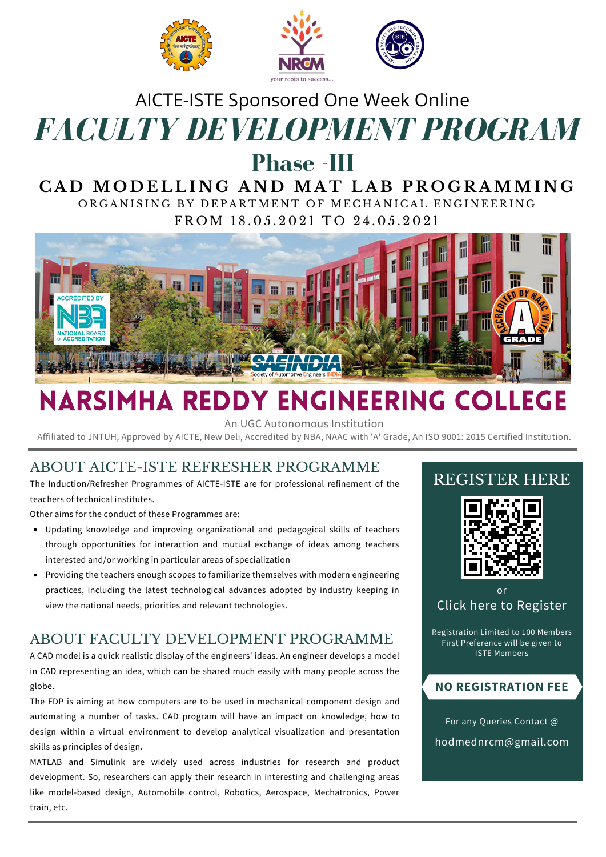

# *FACULTY DEVELOPMENT PROGRAM* AICTE-ISTE Sponsored One Week Online

# **Phase -III**

### CAD MODELLING AND MAT LAB PROGRAMMING ORGANISING BY DEPARTMENT OF MECHANICAL ENGINEERING

FROM 18.05.2021 TO 24.05.2021



# NARSIMHA REDDY ENGINEERING COLLEGE

An UGC Autonomous Institution

Affiliated to JNTUH, Approved by AICTE, New Deli, Accredited by NBA, NAAC with 'A' Grade, An ISO 9001: 2015 Certified Institution.

### ABOUT AICTE-ISTE REFRESHER PROGRAMME

The Induction/Refresher Programmes of AICTE-ISTE are for professional refinement of the teachers of technical institutes.

Other aims for the conduct of these Programmes are:

- Updating knowledge and improving organizational and pedagogical skills of teachers through opportunities for interaction and mutual exchange of ideas among teachers interested and/or working in particular areas of specialization
- Providing the teachers enough scopes to familiarize themselves with modern engineering practices, including the latest technological advances adopted by industry keeping in view the national needs, priorities and relevant technologies.

### ABOUT FACULTY DEVELOPMENT PROGRAMME

A CAD model is a quick realistic display of the engineers' ideas. An engineer develops a model in CAD representing an idea, which can be shared much easily with many people across the globe.

The FDP is aiming at how computers are to be used in mechanical component design and automating a number of tasks. CAD program will have an impact on knowledge, how to design within a virtual environment to develop analytical visualization and presentation skills as principles of design.

MATLAB and Simulink are widely used across industries for research and product development. So, researchers can apply their research in interesting and challenging areas like model-based design, Automobile control, Robotics, Aerospace, Mechatronics, Power train, etc.

### REGISTER HERE



or Click here to [Register](https://forms.gle/ZK7hpQNMtkZFeXNU6)

Registration Limited to 100 Members First Preference will be given to ISTE Members

### **NO REGISTRATION FEE**

For any Queries Contact @ [hodmednrcm@gmail.com](mailto:hodmednrcm@gmail.com)